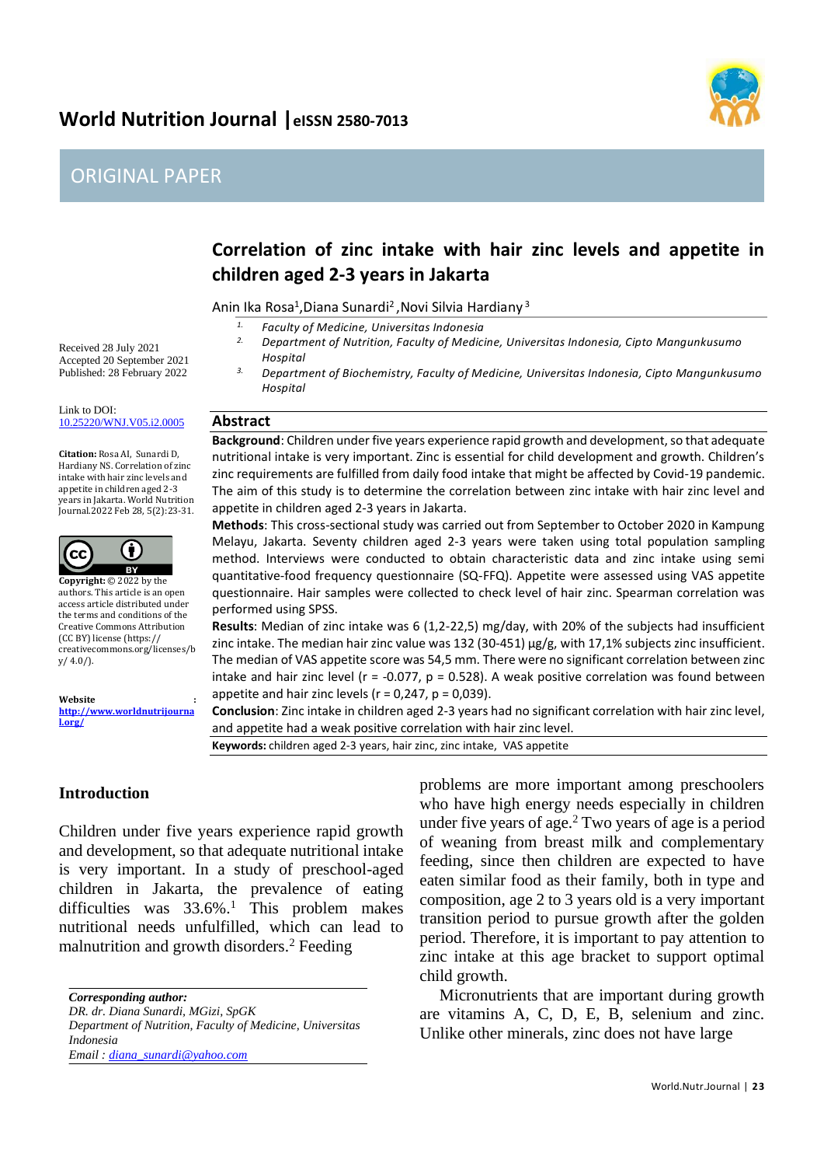# **World Nutrition Journal |eISSN 2580-7013**

# ORIGINAL PAPER



# **Correlation of zinc intake with hair zinc levels and appetite in children aged 2-3 years in Jakarta**

Anin Ika Rosa<sup>1</sup>, Diana Sunardi<sup>2</sup>, Novi Silvia Hardiany<sup>3</sup>

- *1. Faculty of Medicine, Universitas Indonesia*
	- *2. Department of Nutrition, Faculty of Medicine, Universitas Indonesia, Cipto Mangunkusumo Hospital*
- *3. Department of Biochemistry, Faculty of Medicine, Universitas Indonesia, Cipto Mangunkusumo Hospital*

#### **Abstract**

**Background**: Children under five years experience rapid growth and development, so that adequate nutritional intake is very important. Zinc is essential for child development and growth. Children's zinc requirements are fulfilled from daily food intake that might be affected by Covid-19 pandemic. The aim of this study is to determine the correlation between zinc intake with hair zinc level and appetite in children aged 2-3 years in Jakarta.

**Methods**: This cross-sectional study was carried out from September to October 2020 in Kampung Melayu, Jakarta. Seventy children aged 2-3 years were taken using total population sampling method. Interviews were conducted to obtain characteristic data and zinc intake using semi quantitative-food frequency questionnaire (SQ-FFQ). Appetite were assessed using VAS appetite questionnaire. Hair samples were collected to check level of hair zinc. Spearman correlation was performed using SPSS.

**Results**: Median of zinc intake was 6 (1,2-22,5) mg/day, with 20% of the subjects had insufficient zinc intake. The median hair zinc value was 132 (30-451)  $\mu$ g/g, with 17,1% subjects zinc insufficient. The median of VAS appetite score was 54,5 mm. There were no significant correlation between zinc intake and hair zinc level ( $r = -0.077$ ,  $p = 0.528$ ). A weak positive correlation was found between appetite and hair zinc levels ( $r = 0.247$ ,  $p = 0.039$ ).

**Conclusion**: Zinc intake in children aged 2-3 years had no significant correlation with hair zinc level, and appetite had a weak positive correlation with hair zinc level.

**Keywords:** children aged 2-3 years, hair zinc, zinc intake, VAS appetite

# **Introduction**

Children under five years experience rapid growth and development, so that adequate nutritional intake is very important. In a study of preschool-aged children in Jakarta, the prevalence of eating difficulties was  $33.6\%$ .<sup>1</sup> This problem makes nutritional needs unfulfilled, which can lead to malnutrition and growth disorders.<sup>2</sup> Feeding

*Corresponding author:*

*DR. dr. Diana Sunardi, MGizi, SpGK*

*Department of Nutrition, Faculty of Medicine, Universitas Indonesia*

*Email : diana\_sunardi@yahoo.com*

problems are more important among preschoolers who have high energy needs especially in children under five years of age.<sup>2</sup> Two years of age is a period of weaning from breast milk and complementary feeding, since then children are expected to have eaten similar food as their family, both in type and composition, age 2 to 3 years old is a very important transition period to pursue growth after the golden period. Therefore, it is important to pay attention to zinc intake at this age bracket to support optimal child growth.

Micronutrients that are important during growth are vitamins A, C, D, E, B, selenium and zinc. Unlike other minerals, zinc does not have large

Received 28 July 2021 Accepted 20 September 2021 Published: 28 February 2022

Link to DOI: [10.25220/WNJ.V05.i2.0005](https://doi.org/10.25220/WNJ.V05.i2.0005)

**Citation:** Rosa AI, Sunardi D, Hardiany NS. Correlation of zinc intake with hair zinc levels and appetite in children aged 2-3 years in Jakarta. World Nutrition Journal.2022 Feb 28, 5(2):23-31.



**Copyright:** © 2022 by the authors. This article is an open access article distributed under the terms and conditions of the Creative Commons Attribution (CC BY) license (https:// creativecommons.org/licenses/b  $y/4.0/$ ).

#### **Website :**

**[http://www.worldnutrijourna](http://www.worldnutrijournal.org/) [l.org/](http://www.worldnutrijournal.org/)**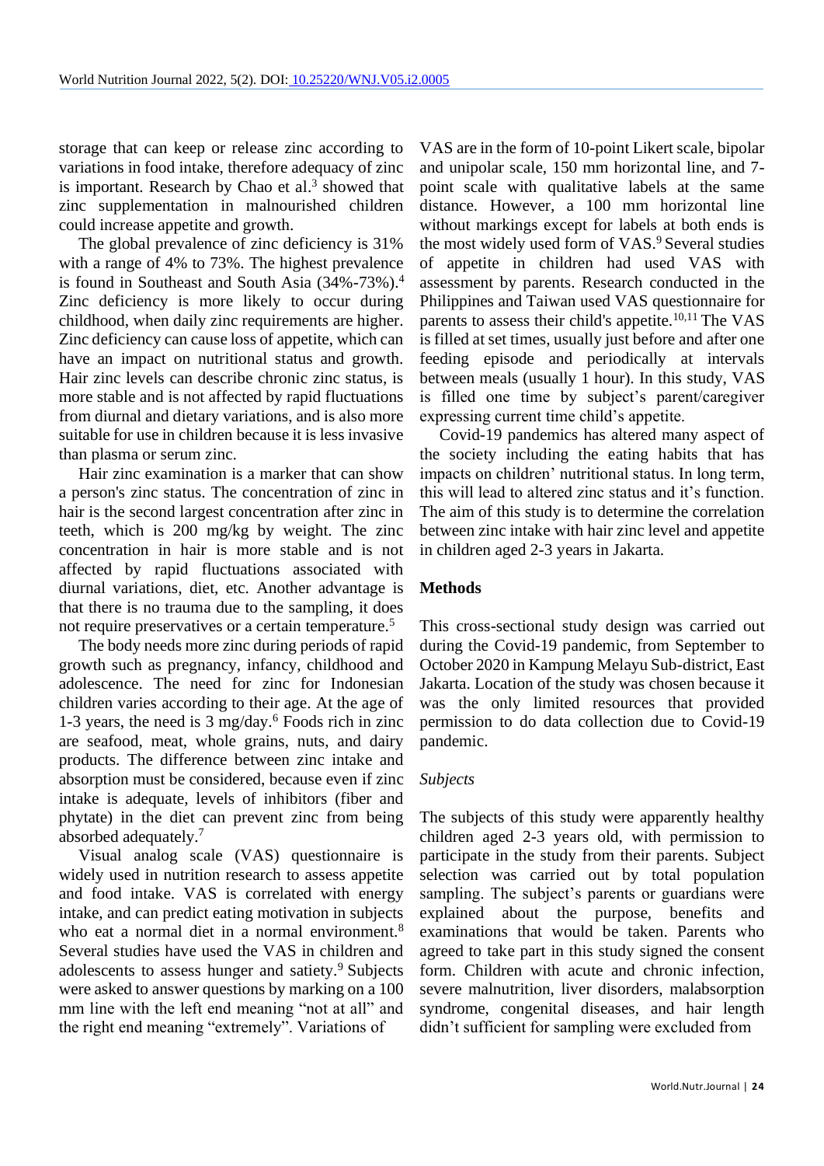storage that can keep or release zinc according to variations in food intake, therefore adequacy of zinc is important. Research by Chao et al. 3 showed that zinc supplementation in malnourished children could increase appetite and growth.

The global prevalence of zinc deficiency is 31% with a range of 4% to 73%. The highest prevalence is found in Southeast and South Asia (34%-73%).<sup>4</sup> Zinc deficiency is more likely to occur during childhood, when daily zinc requirements are higher. Zinc deficiency can cause loss of appetite, which can have an impact on nutritional status and growth. Hair zinc levels can describe chronic zinc status, is more stable and is not affected by rapid fluctuations from diurnal and dietary variations, and is also more suitable for use in children because it is less invasive than plasma or serum zinc.

Hair zinc examination is a marker that can show a person's zinc status. The concentration of zinc in hair is the second largest concentration after zinc in teeth, which is 200 mg/kg by weight. The zinc concentration in hair is more stable and is not affected by rapid fluctuations associated with diurnal variations, diet, etc. Another advantage is that there is no trauma due to the sampling, it does not require preservatives or a certain temperature.<sup>5</sup>

The body needs more zinc during periods of rapid growth such as pregnancy, infancy, childhood and adolescence. The need for zinc for Indonesian children varies according to their age. At the age of 1-3 years, the need is  $3 \text{ mg/day}$ .<sup>6</sup> Foods rich in zinc are seafood, meat, whole grains, nuts, and dairy products. The difference between zinc intake and absorption must be considered, because even if zinc intake is adequate, levels of inhibitors (fiber and phytate) in the diet can prevent zinc from being absorbed adequately.<sup>7</sup>

Visual analog scale (VAS) questionnaire is widely used in nutrition research to assess appetite and food intake. VAS is correlated with energy intake, and can predict eating motivation in subjects who eat a normal diet in a normal environment.<sup>8</sup> Several studies have used the VAS in children and adolescents to assess hunger and satiety.<sup>9</sup> Subjects were asked to answer questions by marking on a 100 mm line with the left end meaning "not at all" and the right end meaning "extremely". Variations of

VAS are in the form of 10-point Likert scale, bipolar and unipolar scale, 150 mm horizontal line, and 7 point scale with qualitative labels at the same distance. However, a 100 mm horizontal line without markings except for labels at both ends is the most widely used form of VAS.<sup>9</sup> Several studies of appetite in children had used VAS with assessment by parents. Research conducted in the Philippines and Taiwan used VAS questionnaire for parents to assess their child's appetite.<sup>10,11</sup> The VAS is filled at set times, usually just before and after one feeding episode and periodically at intervals between meals (usually 1 hour). In this study, VAS is filled one time by subject's parent/caregiver expressing current time child's appetite.

Covid-19 pandemics has altered many aspect of the society including the eating habits that has impacts on children' nutritional status. In long term, this will lead to altered zinc status and it's function. The aim of this study is to determine the correlation between zinc intake with hair zinc level and appetite in children aged 2-3 years in Jakarta.

### **Methods**

This cross-sectional study design was carried out during the Covid-19 pandemic, from September to October 2020 in Kampung Melayu Sub-district, East Jakarta. Location of the study was chosen because it was the only limited resources that provided permission to do data collection due to Covid-19 pandemic.

# *Subjects*

The subjects of this study were apparently healthy children aged 2-3 years old, with permission to participate in the study from their parents. Subject selection was carried out by total population sampling. The subject's parents or guardians were explained about the purpose, benefits and examinations that would be taken. Parents who agreed to take part in this study signed the consent form. Children with acute and chronic infection, severe malnutrition, liver disorders, malabsorption syndrome, congenital diseases, and hair length didn't sufficient for sampling were excluded from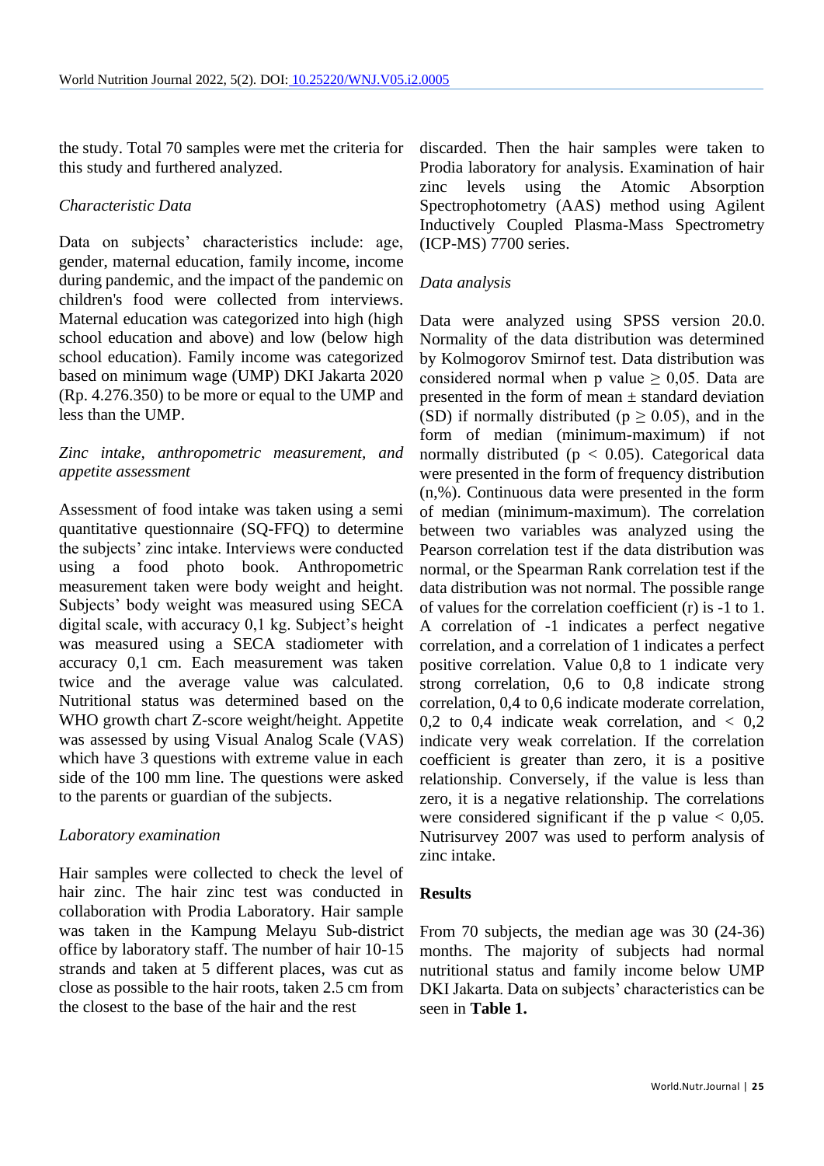the study. Total 70 samples were met the criteria for this study and furthered analyzed.

### *Characteristic Data*

Data on subjects' characteristics include: age, gender, maternal education, family income, income during pandemic, and the impact of the pandemic on children's food were collected from interviews. Maternal education was categorized into high (high school education and above) and low (below high school education). Family income was categorized based on minimum wage (UMP) DKI Jakarta 2020 (Rp. 4.276.350) to be more or equal to the UMP and less than the UMP.

# *Zinc intake, anthropometric measurement, and appetite assessment*

Assessment of food intake was taken using a semi quantitative questionnaire (SQ-FFQ) to determine the subjects' zinc intake. Interviews were conducted using a food photo book. Anthropometric measurement taken were body weight and height. Subjects' body weight was measured using SECA digital scale, with accuracy 0,1 kg. Subject's height was measured using a SECA stadiometer with accuracy 0,1 cm. Each measurement was taken twice and the average value was calculated. Nutritional status was determined based on the WHO growth chart Z-score weight/height. Appetite was assessed by using Visual Analog Scale (VAS) which have 3 questions with extreme value in each side of the 100 mm line. The questions were asked to the parents or guardian of the subjects.

#### *Laboratory examination*

Hair samples were collected to check the level of hair zinc. The hair zinc test was conducted in collaboration with Prodia Laboratory. Hair sample was taken in the Kampung Melayu Sub-district office by laboratory staff. The number of hair 10-15 strands and taken at 5 different places, was cut as close as possible to the hair roots, taken 2.5 cm from the closest to the base of the hair and the rest

discarded. Then the hair samples were taken to Prodia laboratory for analysis. Examination of hair zinc levels using the Atomic Absorption Spectrophotometry (AAS) method using Agilent Inductively Coupled Plasma-Mass Spectrometry (ICP-MS) 7700 series.

### *Data analysis*

Data were analyzed using SPSS version 20.0. Normality of the data distribution was determined by Kolmogorov Smirnof test. Data distribution was considered normal when p value  $\geq 0.05$ . Data are presented in the form of mean  $\pm$  standard deviation (SD) if normally distributed ( $p \ge 0.05$ ), and in the form of median (minimum-maximum) if not normally distributed ( $p < 0.05$ ). Categorical data were presented in the form of frequency distribution (n,%). Continuous data were presented in the form of median (minimum-maximum). The correlation between two variables was analyzed using the Pearson correlation test if the data distribution was normal, or the Spearman Rank correlation test if the data distribution was not normal. The possible range of values for the correlation coefficient (r) is -1 to 1. A correlation of -1 indicates a perfect negative correlation, and a correlation of 1 indicates a perfect positive correlation. Value 0,8 to 1 indicate very strong correlation, 0,6 to 0,8 indicate strong correlation, 0,4 to 0,6 indicate moderate correlation, 0.2 to 0.4 indicate weak correlation, and  $\langle 0.2 \rangle$ indicate very weak correlation. If the correlation coefficient is greater than zero, it is a positive relationship. Conversely, if the value is less than zero, it is a negative relationship. The correlations were considered significant if the p value  $< 0.05$ . Nutrisurvey 2007 was used to perform analysis of zinc intake.

#### **Results**

From 70 subjects, the median age was 30 (24-36) months. The majority of subjects had normal nutritional status and family income below UMP DKI Jakarta. Data on subjects' characteristics can be seen in **Table 1.**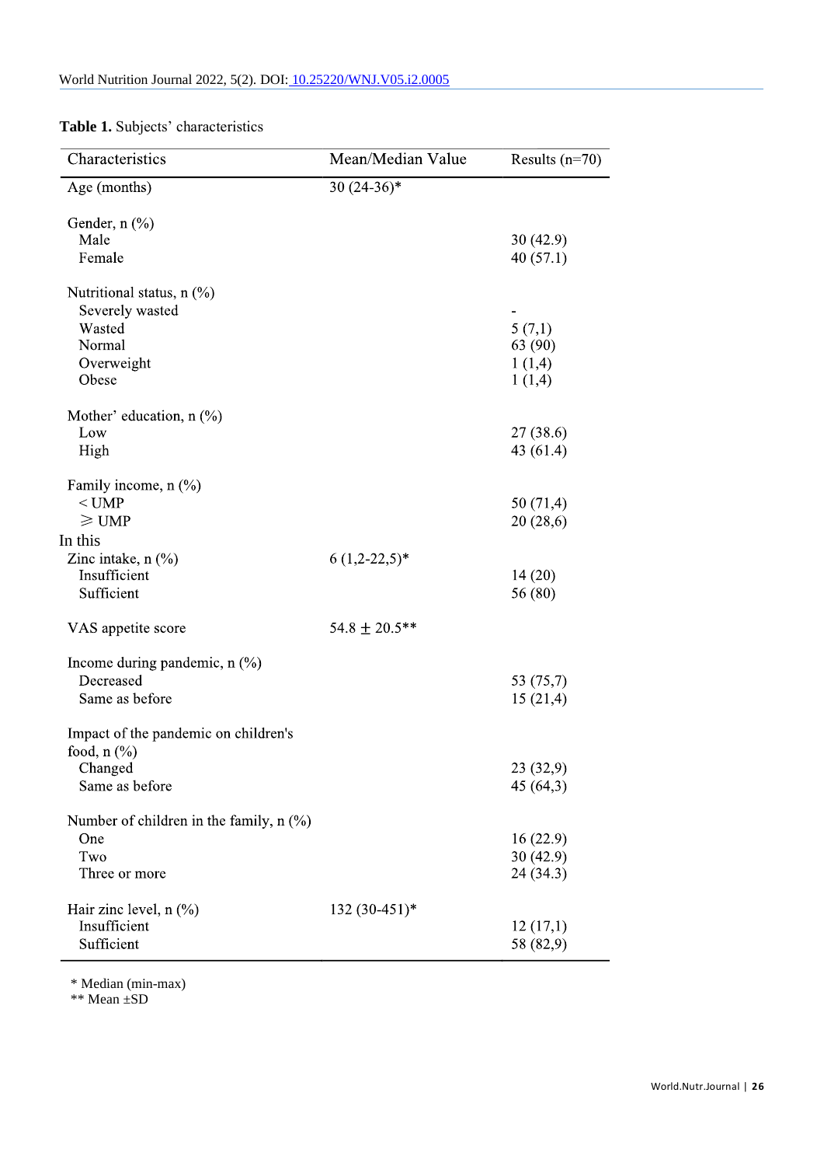| Characteristics                           | Mean/Median Value  | Results $(n=70)$ |
|-------------------------------------------|--------------------|------------------|
| Age (months)                              | $30(24-36)*$       |                  |
| Gender, $n$ $(\%)$                        |                    |                  |
| Male                                      |                    | 30 (42.9)        |
| Female                                    |                    | 40(57.1)         |
| Nutritional status, $n$ (%)               |                    |                  |
| Severely wasted                           |                    |                  |
| Wasted                                    |                    | 5(7,1)           |
| Normal                                    |                    | 63 (90)          |
| Overweight                                |                    | 1(1,4)           |
| Obese                                     |                    | 1(1,4)           |
| Mother' education, $n$ (%)                |                    |                  |
| Low                                       |                    | 27 (38.6)        |
| High                                      |                    | 43 (61.4)        |
| Family income, $n$ (%)                    |                    |                  |
| $<$ UMP                                   |                    | 50 (71,4)        |
| $\geq$ UMP                                |                    | 20 (28,6)        |
| In this                                   |                    |                  |
| Zinc intake, $n$ $(\%)$                   | $6(1,2-22,5)*$     |                  |
| Insufficient                              |                    | 14(20)           |
| Sufficient                                |                    | 56 (80)          |
| VAS appetite score                        | $54.8 \pm 20.5$ ** |                  |
| Income during pandemic, $n$ $(\%)$        |                    |                  |
| Decreased                                 |                    | 53 (75,7)        |
| Same as before                            |                    | 15(21,4)         |
| Impact of the pandemic on children's      |                    |                  |
| food, $n$ $\left(\frac{9}{6}\right)$      |                    |                  |
| Changed                                   |                    | 23 (32,9)        |
| Same as before                            |                    | 45 (64,3)        |
| Number of children in the family, $n$ (%) |                    |                  |
| One                                       |                    | 16(22.9)         |
| Two                                       |                    | 30(42.9)         |
| Three or more                             |                    | 24 (34.3)        |
| Hair zinc level, $n$ $(\%)$               | 132 (30-451)*      |                  |
| Insufficient                              |                    | 12(17,1)         |
| Sufficient                                |                    | 58 (82,9)        |

# **Table 1.** Subjects' characteristics

\* Median (min-max)

\*\* Mean ±SD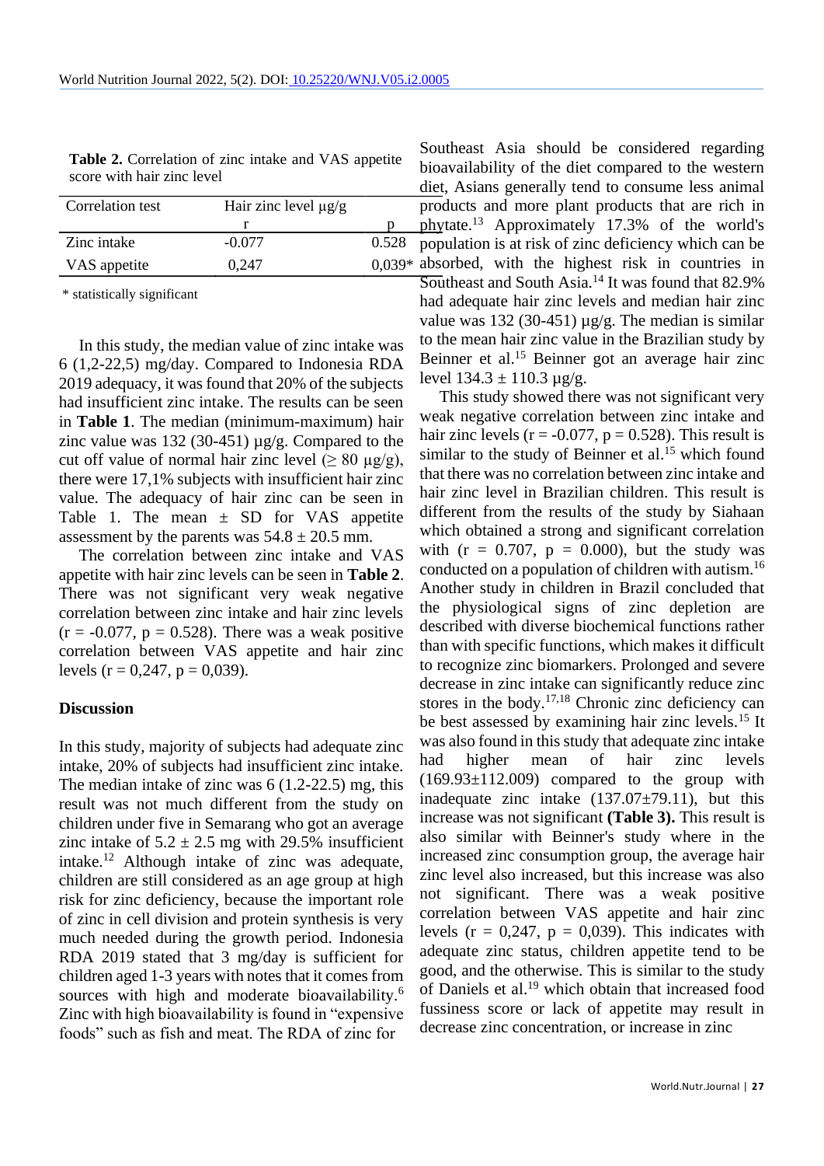| <b>Table 2.</b> Correlation of zinc intake and VAS appetite |  |
|-------------------------------------------------------------|--|
| score with hair zinc level                                  |  |

| Correlation test | Hair zinc level $\mu$ g/g |          |
|------------------|---------------------------|----------|
|                  |                           |          |
| Zinc intake      | $-0.077$                  | 0.528    |
| VAS appetite     | 0.247                     | $0.039*$ |

\* statistically significant

In this study, the median value of zinc intake was 6 (1,2-22,5) mg/day. Compared to Indonesia RDA 2019 adequacy, it was found that 20% of the subjects had insufficient zinc intake. The results can be seen in **Table 1**. The median (minimum-maximum) hair zinc value was 132 (30-451)  $\mu$ g/g. Compared to the cut off value of normal hair zinc level ( $\geq 80 \mu g/g$ ), there were 17,1% subjects with insufficient hair zinc value. The adequacy of hair zinc can be seen in Table 1. The mean  $\pm$  SD for VAS appetite assessment by the parents was  $54.8 \pm 20.5$  mm.

The correlation between zinc intake and VAS appetite with hair zinc levels can be seen in **Table 2**. There was not significant very weak negative correlation between zinc intake and hair zinc levels  $(r = -0.077, p = 0.528)$ . There was a weak positive correlation between VAS appetite and hair zinc levels ( $r = 0,247$ ,  $p = 0,039$ ).

#### **Discussion**

In this study, majority of subjects had adequate zinc intake, 20% of subjects had insufficient zinc intake. The median intake of zinc was 6 (1.2-22.5) mg, this result was not much different from the study on children under five in Semarang who got an average zinc intake of  $5.2 \pm 2.5$  mg with 29.5% insufficient intake.<sup>12</sup> Although intake of zinc was adequate, children are still considered as an age group at high risk for zinc deficiency, because the important role of zinc in cell division and protein synthesis is very much needed during the growth period. Indonesia RDA 2019 stated that 3 mg/day is sufficient for children aged 1-3 years with notes that it comes from sources with high and moderate bioavailability.<sup>6</sup> Zinc with high bioavailability is found in "expensive foods" such as fish and meat. The RDA of zinc for

Southeast Asia should be considered regarding bioavailability of the diet compared to the western diet, Asians generally tend to consume less animal products and more plant products that are rich in phytate.<sup>13</sup> Approximately 17.3% of the world's population is at risk of zinc deficiency which can be absorbed, with the highest risk in countries in Southeast and South Asia.<sup>14</sup> It was found that  $82.9\%$ had adequate hair zinc levels and median hair zinc value was 132 (30-451)  $\mu$ g/g. The median is similar to the mean hair zinc value in the Brazilian study by Beinner et al.<sup>15</sup> Beinner got an average hair zinc level  $134.3 \pm 110.3 \,\mu$ g/g.

This study showed there was not significant very weak negative correlation between zinc intake and hair zinc levels ( $r = -0.077$ ,  $p = 0.528$ ). This result is similar to the study of Beinner et al. <sup>15</sup> which found that there was no correlation between zinc intake and hair zinc level in Brazilian children. This result is different from the results of the study by Siahaan which obtained a strong and significant correlation with  $(r = 0.707, p = 0.000)$ , but the study was conducted on a population of children with autism.<sup>16</sup> Another study in children in Brazil concluded that the physiological signs of zinc depletion are described with diverse biochemical functions rather than with specific functions, which makes it difficult to recognize zinc biomarkers. Prolonged and severe decrease in zinc intake can significantly reduce zinc stores in the body. $17,18$  Chronic zinc deficiency can be best assessed by examining hair zinc levels.<sup>15</sup> It was also found in this study that adequate zinc intake had higher mean of hair zinc levels  $(169.93\pm112.009)$  compared to the group with inadequate zinc intake  $(137.07 \pm 79.11)$ , but this increase was not significant **(Table 3).** This result is also similar with Beinner's study where in the increased zinc consumption group, the average hair zinc level also increased, but this increase was also not significant. There was a weak positive correlation between VAS appetite and hair zinc levels ( $r = 0.247$ ,  $p = 0.039$ ). This indicates with adequate zinc status, children appetite tend to be good, and the otherwise. This is similar to the study of Daniels et al. <sup>19</sup> which obtain that increased food fussiness score or lack of appetite may result in decrease zinc concentration, or increase in zinc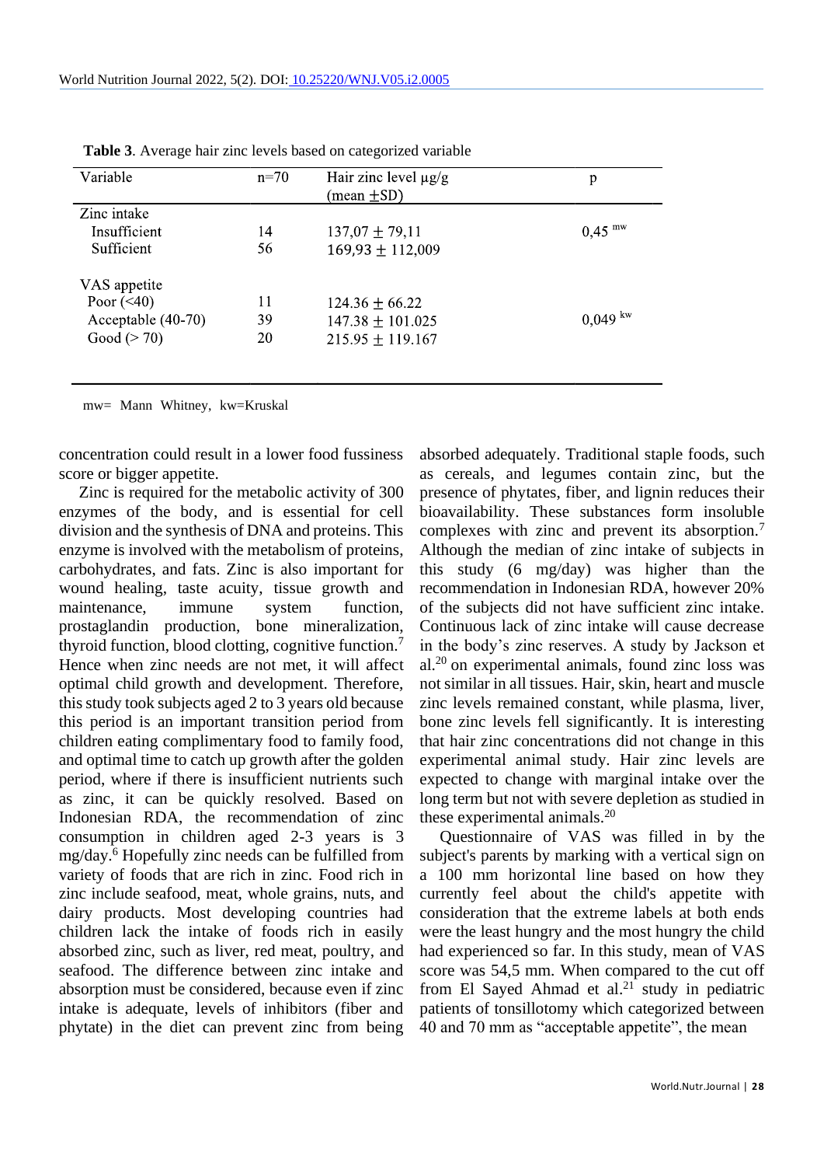| Variable           | $n=70$ | Hair zinc level $\mu$ g/g<br>(mean $\pm$ SD) | p                    |
|--------------------|--------|----------------------------------------------|----------------------|
| Zinc intake        |        |                                              |                      |
| Insufficient       | 14     | $137,07 \pm 79,11$                           | $0,45$ <sup>mw</sup> |
| Sufficient         | 56     | $169,93 \pm 112,009$                         |                      |
| VAS appetite       |        |                                              |                      |
| Poor $(\leq 40)$   | 11     | $124.36 \pm 66.22$                           |                      |
| Acceptable (40-70) | 39     | $147.38 \pm 101.025$                         | $0,049~^{\rm kw}$    |
| Good $(> 70)$      | 20     | $215.95 \pm 119.167$                         |                      |
|                    |        |                                              |                      |

**Table 3**. Average hair zinc levels based on categorized variable

mw= Mann Whitney, kw=Kruskal

concentration could result in a lower food fussiness score or bigger appetite.

Zinc is required for the metabolic activity of 300 enzymes of the body, and is essential for cell division and the synthesis of DNA and proteins. This enzyme is involved with the metabolism of proteins, carbohydrates, and fats. Zinc is also important for wound healing, taste acuity, tissue growth and maintenance, immune system function, prostaglandin production, bone mineralization, thyroid function, blood clotting, cognitive function.<sup>7</sup> Hence when zinc needs are not met, it will affect optimal child growth and development. Therefore, this study took subjects aged 2 to 3 years old because this period is an important transition period from children eating complimentary food to family food, and optimal time to catch up growth after the golden period, where if there is insufficient nutrients such as zinc, it can be quickly resolved. Based on Indonesian RDA, the recommendation of zinc consumption in children aged 2-3 years is 3 mg/day.<sup>6</sup> Hopefully zinc needs can be fulfilled from variety of foods that are rich in zinc. Food rich in zinc include seafood, meat, whole grains, nuts, and dairy products. Most developing countries had children lack the intake of foods rich in easily absorbed zinc, such as liver, red meat, poultry, and seafood. The difference between zinc intake and absorption must be considered, because even if zinc intake is adequate, levels of inhibitors (fiber and phytate) in the diet can prevent zinc from being

absorbed adequately. Traditional staple foods, such as cereals, and legumes contain zinc, but the presence of phytates, fiber, and lignin reduces their bioavailability. These substances form insoluble complexes with zinc and prevent its absorption.<sup>7</sup> Although the median of zinc intake of subjects in this study (6 mg/day) was higher than the recommendation in Indonesian RDA, however 20% of the subjects did not have sufficient zinc intake. Continuous lack of zinc intake will cause decrease in the body's zinc reserves. A study by Jackson et al. <sup>20</sup> on experimental animals, found zinc loss was not similar in all tissues. Hair, skin, heart and muscle zinc levels remained constant, while plasma, liver, bone zinc levels fell significantly. It is interesting that hair zinc concentrations did not change in this experimental animal study. Hair zinc levels are expected to change with marginal intake over the long term but not with severe depletion as studied in these experimental animals. $^{20}$ 

Questionnaire of VAS was filled in by the subject's parents by marking with a vertical sign on a 100 mm horizontal line based on how they currently feel about the child's appetite with consideration that the extreme labels at both ends were the least hungry and the most hungry the child had experienced so far. In this study, mean of VAS score was 54,5 mm. When compared to the cut off from El Sayed Ahmad et al. <sup>21</sup> study in pediatric patients of tonsillotomy which categorized between 40 and 70 mm as "acceptable appetite", the mean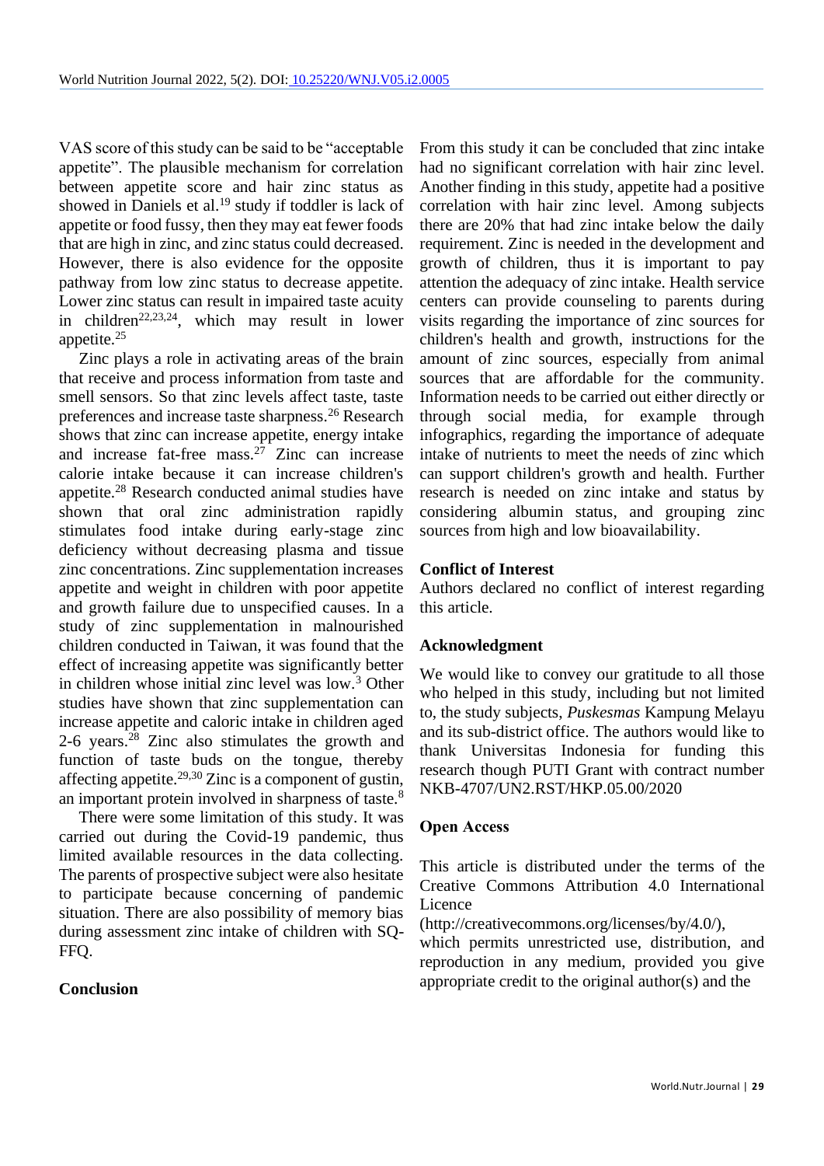VAS score of this study can be said to be "acceptable appetite". The plausible mechanism for correlation between appetite score and hair zinc status as showed in Daniels et al. <sup>19</sup> study if toddler is lack of appetite or food fussy, then they may eat fewer foods that are high in zinc, and zinc status could decreased. However, there is also evidence for the opposite pathway from low zinc status to decrease appetite. Lower zinc status can result in impaired taste acuity in children<sup>22,23,24</sup>, which may result in lower appetite.<sup>25</sup>

Zinc plays a role in activating areas of the brain that receive and process information from taste and smell sensors. So that zinc levels affect taste, taste preferences and increase taste sharpness.<sup>26</sup> Research shows that zinc can increase appetite, energy intake and increase fat-free mass. $2^{7}$  Zinc can increase calorie intake because it can increase children's appetite.<sup>28</sup> Research conducted animal studies have shown that oral zinc administration rapidly stimulates food intake during early-stage zinc deficiency without decreasing plasma and tissue zinc concentrations. Zinc supplementation increases appetite and weight in children with poor appetite and growth failure due to unspecified causes. In a study of zinc supplementation in malnourished children conducted in Taiwan, it was found that the effect of increasing appetite was significantly better in children whose initial zinc level was low.<sup>3</sup> Other studies have shown that zinc supplementation can increase appetite and caloric intake in children aged 2-6 years.<sup>28</sup> Zinc also stimulates the growth and function of taste buds on the tongue, thereby affecting appetite.29,30 Zinc is a component of gustin, an important protein involved in sharpness of taste.<sup>8</sup>

There were some limitation of this study. It was carried out during the Covid-19 pandemic, thus limited available resources in the data collecting. The parents of prospective subject were also hesitate to participate because concerning of pandemic situation. There are also possibility of memory bias during assessment zinc intake of children with SQ-FFQ.

# **Conclusion**

From this study it can be concluded that zinc intake had no significant correlation with hair zinc level. Another finding in this study, appetite had a positive correlation with hair zinc level. Among subjects there are 20% that had zinc intake below the daily requirement. Zinc is needed in the development and growth of children, thus it is important to pay attention the adequacy of zinc intake. Health service centers can provide counseling to parents during visits regarding the importance of zinc sources for children's health and growth, instructions for the amount of zinc sources, especially from animal sources that are affordable for the community. Information needs to be carried out either directly or through social media, for example through infographics, regarding the importance of adequate intake of nutrients to meet the needs of zinc which can support children's growth and health. Further research is needed on zinc intake and status by considering albumin status, and grouping zinc sources from high and low bioavailability.

### **Conflict of Interest**

Authors declared no conflict of interest regarding this article.

# **Acknowledgment**

We would like to convey our gratitude to all those who helped in this study, including but not limited to, the study subjects, *Puskesmas* Kampung Melayu and its sub-district office. The authors would like to thank Universitas Indonesia for funding this research though PUTI Grant with contract number NKB-4707/UN2.RST/HKP.05.00/2020

#### **Open Access**

This article is distributed under the terms of the Creative Commons Attribution 4.0 International Licence

(http://creativecommons.org/licenses/by/4.0/),

which permits unrestricted use, distribution, and reproduction in any medium, provided you give appropriate credit to the original author(s) and the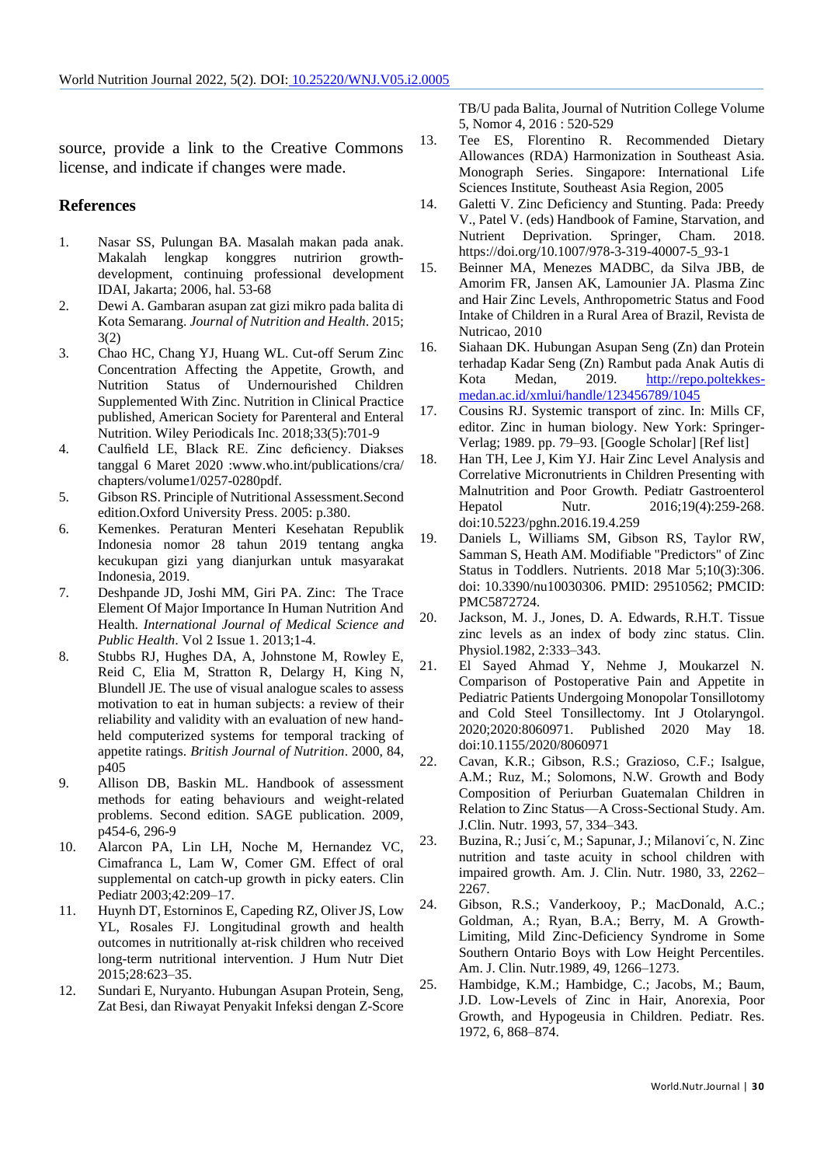source, provide a link to the Creative Commons license, and indicate if changes were made.

#### **References**

- 1. Nasar SS, Pulungan BA. Masalah makan pada anak. Makalah lengkap konggres nutririon growthdevelopment, continuing professional development IDAI, Jakarta; 2006, hal. 53-68
- 2. Dewi A. Gambaran asupan zat gizi mikro pada balita di Kota Semarang. *Journal of Nutrition and Health*. 2015; 3(2)
- 3. Chao HC, Chang YJ, Huang WL. Cut-off Serum Zinc Concentration Affecting the Appetite, Growth, and Nutrition Status of Undernourished Children Supplemented With Zinc. Nutrition in Clinical Practice published, American Society for Parenteral and Enteral Nutrition. Wiley Periodicals Inc. 2018;33(5):701-9
- 4. Caulfield LE, Black RE. Zinc deficiency. Diakses tanggal 6 Maret 2020 :www.who.int/publications/cra/ chapters/volume1/0257-0280pdf.
- 5. Gibson RS. Principle of Nutritional Assessment.Second edition.Oxford University Press. 2005: p.380.
- 6. Kemenkes. Peraturan Menteri Kesehatan Republik Indonesia nomor 28 tahun 2019 tentang angka kecukupan gizi yang dianjurkan untuk masyarakat Indonesia, 2019.
- 7. Deshpande JD, Joshi MM, Giri PA. Zinc: The Trace Element Of Major Importance In Human Nutrition And Health. *International Journal of Medical Science and Public Health*. Vol 2 Issue 1. 2013;1-4.
- 8. Stubbs RJ, Hughes DA, A, Johnstone M, Rowley E, Reid C, Elia M, Stratton R, Delargy H, King N, Blundell JE. The use of visual analogue scales to assess motivation to eat in human subjects: a review of their reliability and validity with an evaluation of new handheld computerized systems for temporal tracking of appetite ratings. *British Journal of Nutrition*. 2000, 84, p405
- 9. Allison DB, Baskin ML. Handbook of assessment methods for eating behaviours and weight-related problems. Second edition. SAGE publication. 2009, p454-6, 296-9
- 10. Alarcon PA, Lin LH, Noche M, Hernandez VC, Cimafranca L, Lam W, Comer GM. Effect of oral supplemental on catch-up growth in picky eaters. Clin Pediatr 2003;42:209–17.
- 11. Huynh DT, Estorninos E, Capeding RZ, Oliver JS, Low YL, Rosales FJ. Longitudinal growth and health outcomes in nutritionally at-risk children who received long-term nutritional intervention. J Hum Nutr Diet 2015;28:623–35.
- 12. Sundari E, Nuryanto. Hubungan Asupan Protein, Seng, Zat Besi, dan Riwayat Penyakit Infeksi dengan Z-Score

TB/U pada Balita, Journal of Nutrition College Volume 5, Nomor 4, 2016 : 520-529

- 13. Tee ES, Florentino R. Recommended Dietary Allowances (RDA) Harmonization in Southeast Asia. Monograph Series. Singapore: International Life Sciences Institute, Southeast Asia Region, 2005
- 14. Galetti V. Zinc Deficiency and Stunting. Pada: Preedy V., Patel V. (eds) Handbook of Famine, Starvation, and Nutrient Deprivation. Springer, Cham. 2018. https://doi.org/10.1007/978-3-319-40007-5\_93-1
- 15. Beinner MA, Menezes MADBC, da Silva JBB, de Amorim FR, Jansen AK, Lamounier JA. Plasma Zinc and Hair Zinc Levels, Anthropometric Status and Food Intake of Children in a Rural Area of Brazil, Revista de Nutricao, 2010
- 16. Siahaan DK. Hubungan Asupan Seng (Zn) dan Protein terhadap Kadar Seng (Zn) Rambut pada Anak Autis di Kota Medan, 2019. [http://repo.poltekkes](http://repo.poltekkes-medan.ac.id/xmlui/handle/123456789/1045)[medan.ac.id/xmlui/handle/123456789/1045](http://repo.poltekkes-medan.ac.id/xmlui/handle/123456789/1045)
- 17. Cousins RJ. Systemic transport of zinc. In: Mills CF, editor. Zinc in human biology. New York: Springer-Verlag; 1989. pp. 79–93. [Google Scholar] [Ref list]
- 18. Han TH, Lee J, Kim YJ. Hair Zinc Level Analysis and Correlative Micronutrients in Children Presenting with Malnutrition and Poor Growth. Pediatr Gastroenterol Hepatol Nutr. 2016;19(4):259-268. doi:10.5223/pghn.2016.19.4.259
- 19. Daniels L, Williams SM, Gibson RS, Taylor RW, Samman S, Heath AM. Modifiable "Predictors" of Zinc Status in Toddlers. Nutrients. 2018 Mar 5;10(3):306. doi: 10.3390/nu10030306. PMID: 29510562; PMCID: PMC5872724.
- 20. Jackson, M. J., Jones, D. A. Edwards, R.H.T. Tissue zinc levels as an index of body zinc status. Clin. Physiol.1982, 2:333–343.
- 21. El Sayed Ahmad Y, Nehme J, Moukarzel N. Comparison of Postoperative Pain and Appetite in Pediatric Patients Undergoing Monopolar Tonsillotomy and Cold Steel Tonsillectomy. Int J Otolaryngol. 2020;2020:8060971. Published 2020 May 18. doi:10.1155/2020/8060971
- 22. Cavan, K.R.; Gibson, R.S.; Grazioso, C.F.; Isalgue, A.M.; Ruz, M.; Solomons, N.W. Growth and Body Composition of Periurban Guatemalan Children in Relation to Zinc Status—A Cross-Sectional Study. Am. J.Clin. Nutr. 1993, 57, 334–343.
- 23. Buzina, R.; Jusi´c, M.; Sapunar, J.; Milanovi´c, N. Zinc nutrition and taste acuity in school children with impaired growth. Am. J. Clin. Nutr. 1980, 33, 2262– 2267.
- 24. Gibson, R.S.; Vanderkooy, P.; MacDonald, A.C.; Goldman, A.; Ryan, B.A.; Berry, M. A Growth-Limiting, Mild Zinc-Deficiency Syndrome in Some Southern Ontario Boys with Low Height Percentiles. Am. J. Clin. Nutr.1989, 49, 1266–1273.
- 25. Hambidge, K.M.; Hambidge, C.; Jacobs, M.; Baum, J.D. Low-Levels of Zinc in Hair, Anorexia, Poor Growth, and Hypogeusia in Children. Pediatr. Res. 1972, 6, 868–874.